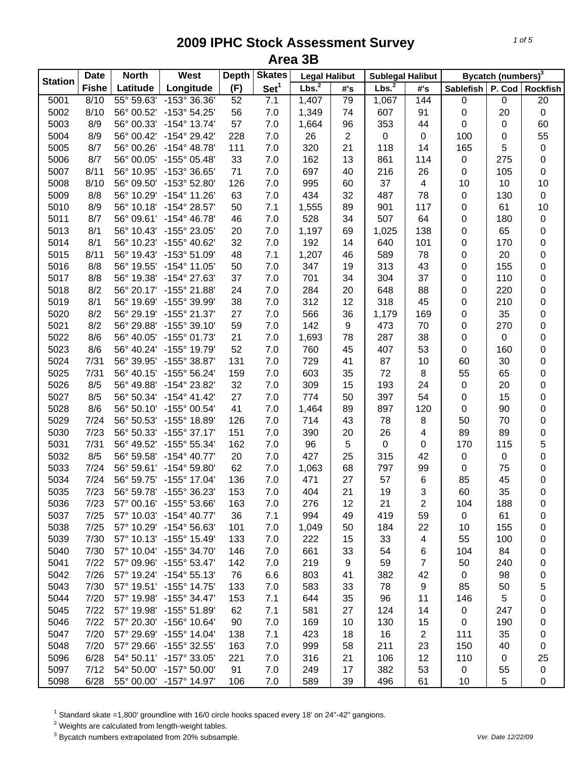| <b>Station</b> | <b>Date</b>  | <b>North</b> | West                         | <b>Depth</b> | <b>Skates</b>    | <b>Legal Halibut</b> |          | <b>Sublegal Halibut</b> |                         |            | Bycatch (numbers) <sup>3</sup> |                 |
|----------------|--------------|--------------|------------------------------|--------------|------------------|----------------------|----------|-------------------------|-------------------------|------------|--------------------------------|-----------------|
|                | <b>Fishe</b> | Latitude     | Longitude                    | (F)          | Set <sup>1</sup> | Lbs. <sup>2</sup>    | #'s      | Lbs. <sup>2</sup>       | #'s                     | Sablefish  | P. Cod                         | <b>Rockfish</b> |
| 5001           | 8/10         | 55° 59.63'   | -153° 36.36'                 | 52           | 7.1              | 1,407                | 79       | 1,067                   | 144                     | $\pmb{0}$  | 0                              | $\overline{20}$ |
| 5002           | 8/10         | 56° 00.52'   | -153° 54.25'                 | 56           | 7.0              | 1,349                | 74       | 607                     | 91                      | $\pmb{0}$  | 20                             | $\pmb{0}$       |
| 5003           | 8/9          | 56° 00.33'   | $-154^{\circ}$ 13.74'        | 57           | 7.0              | 1,664                | 96       | 353                     | 44                      | $\pmb{0}$  | 0                              | 60              |
| 5004           | 8/9          | 56° 00.42'   | $-154^{\circ} 29.42'$        | 228          | 7.0              | 26                   | 2        | $\mathbf 0$             | 0                       | 100        | 0                              | 55              |
| 5005           | 8/7          | 56° 00.26'   | $-154^{\circ}$ 48.78'        | 111          | 7.0              | 320                  | 21       | 118                     | 14                      | 165        | 5                              | $\mathbf 0$     |
| 5006           | 8/7          | 56° 00.05'   | $-155^{\circ}$ 05.48'        | 33           | 7.0              | 162                  | 13       | 861                     | 114                     | $\pmb{0}$  | 275                            | $\mathbf 0$     |
| 5007           | 8/11         | 56° 10.95'   | -153° 36.65'                 | 71           | $7.0\,$          | 697                  | 40       | 216                     | 26                      | $\pmb{0}$  | 105                            | $\mathbf 0$     |
| 5008           | 8/10         | 56° 09.50'   | -153° 52.80'                 | 126          | 7.0              | 995                  | 60       | 37                      | $\overline{\mathbf{4}}$ | 10         | 10                             | 10              |
| 5009           | 8/8          | 56° 10.29'   | $-154^{\circ}$ 11.26'        | 63           | 7.0              | 434                  | 32       | 487                     | 78                      | $\pmb{0}$  | 130                            | $\pmb{0}$       |
| 5010           | 8/9          | 56° 10.18'   | -154° 28.57'                 | 50           | 7.1              | 1,555                | 89       | 901                     | 117                     | 0          | 61                             | 10              |
| 5011           | 8/7          | 56° 09.61'   | $-154^{\circ}$ 46.78'        | 46           | 7.0              | 528                  | 34       | 507                     | 64                      | 0          | 180                            | $\pmb{0}$       |
| 5013           | 8/1          | 56° 10.43'   | -155° 23.05'                 | 20           | 7.0              | 1,197                | 69       | 1,025                   | 138                     | 0          | 65                             | $\mathbf 0$     |
| 5014           | 8/1          | 56° 10.23'   | -155° 40.62'                 | 32           | 7.0              | 192                  | 14       | 640                     | 101                     | 0          | 170                            | 0               |
| 5015           | 8/11         | 56° 19.43'   | $-153^{\circ} 51.09'$        | 48           | 7.1              | 1,207                | 46       | 589                     | 78                      | 0          | 20                             | 0               |
| 5016           | 8/8          | 56° 19.55'   | $-154^{\circ}$ 11.05'        | 50           | 7.0              | 347                  | 19       | 313                     | 43                      | 0          | 155                            | 0               |
| 5017           | 8/8          | 56° 19.38'   | -154° 27.63'                 | 37           | 7.0              | 701                  | 34       | 304                     | 37                      | 0          | 110                            | 0               |
| 5018           | 8/2          | 56° 20.17'   | -155° 21.88'                 | 24           | 7.0              | 284                  | 20       | 648                     | 88                      | 0          | 220                            | 0               |
| 5019           | 8/1          | 56° 19.69'   | -155° 39.99'                 | 38           | 7.0              | 312                  | 12       | 318                     | 45                      | 0          | 210                            | 0               |
| 5020           | 8/2          | 56° 29.19'   | -155° 21.37'                 | 27           | 7.0              | 566                  | 36       | 1,179                   | 169                     | 0          | 35                             | 0               |
| 5021           | 8/2          | 56° 29.88'   | $-155^{\circ}$ 39.10'        | 59           | 7.0              | 142                  | 9        | 473                     | 70                      | 0          | 270                            | 0               |
| 5022           | 8/6          | 56° 40.05'   | -155° 01.73'                 | 21           | 7.0              | 1,693                | 78       | 287                     | 38                      | 0          | 0                              | 0               |
| 5023           | 8/6          | 56° 40.24'   | -155° 19.79'                 | 52           | 7.0              | 760                  | 45       | 407                     | 53                      | $\pmb{0}$  | 160                            | 0               |
| 5024           | 7/31         | 56° 39.95'   | -155° 38.87'                 | 131          | 7.0              | 729                  | 41       | 87                      | 10                      | 60         | 30                             | 0               |
| 5025           | 7/31         | 56° 40.15'   | $-155^{\circ} 56.24'$        | 159          | $7.0\,$          | 603                  | 35       | 72                      | 8                       | 55         | 65                             | 0               |
| 5026           | 8/5          | 56° 49.88'   | -154° 23.82'                 | 32           | 7.0              | 309                  | 15       | 193                     | 24                      | $\pmb{0}$  | 20                             | 0               |
| 5027           | 8/5          | 56° 50.34'   | $-154^{\circ}$ 41.42'        | 27           | 7.0              | 774                  | 50       | 397                     | 54                      | $\pmb{0}$  | 15                             | 0               |
| 5028           | 8/6          | 56° 50.10'   | -155° 00.54'                 | 41           | 7.0              | 1,464                | 89       | 897                     | 120                     | $\pmb{0}$  | 90                             | 0               |
| 5029           | 7/24         | 56° 50.53'   | -155° 18.89'                 | 126          | 7.0              | 714                  | 43       | 78                      | 8                       | 50         | 70                             | 0               |
| 5030           | 7/23         | 56° 50.33'   | $-155^{\circ}$ 37.17'        | 151          | 7.0              | 390                  | 20       | 26                      | 4                       | 89         | 89                             | 0               |
| 5031           | 7/31         | 56° 49.52'   | -155° 55.34'                 | 162          | 7.0              | 96                   | 5        | $\mathbf 0$             | 0                       | 170        | 115                            | 5               |
| 5032           | 8/5          | 56° 59.58'   | $-154^{\circ}$ 40.77'        | 20           | 7.0              | 427                  | 25       | 315                     | 42                      | $\pmb{0}$  | 0                              | 0               |
| 5033           | 7/24         | 56° 59.61'   | -154° 59.80'                 | 62           | 7.0              | 1,063                | 68       | 797                     | 99                      | $\pmb{0}$  | 75                             | 0               |
| 5034           | 7/24         | 56° 59.75'   | -155° 17.04'                 | 136          | 7.0              | 471                  | 27       | 57                      | 6                       | 85         | 45                             | 0               |
| 5035           | 7/23         |              | 56° 59.78' -155° 36.23'      | 153          | 7.0              | 404                  | 21       | 19                      | 3                       | 60         | 35                             | 0               |
| 5036           | 7/23         | 57° 00.16'   | $-155^{\circ} 53.66^{\circ}$ | 163          | 7.0              | 276                  | 12       | 21                      | 2                       | 104        | 188                            | 0               |
| 5037           | 7/25         | 57° 10.03'   | $-154^{\circ}$ 40.77'        | 36           | 7.1              | 994                  | 49       | 419                     | 59                      | $\pmb{0}$  | 61                             | 0               |
| 5038           | 7/25         |              | 57° 10.29' -154° 56.63'      | 101          | 7.0              | 1,049                | 50       | 184                     | 22                      | 10         | 155                            | 0               |
| 5039           | 7/30         |              | 57° 10.13' -155° 15.49'      | 133          | 7.0              | 222                  | 15       | 33                      | 4                       | 55         | 100                            | 0               |
| 5040           | 7/30         |              | 57° 10.04' -155° 34.70'      | 146          | 7.0              | 661                  | 33       | 54                      | 6                       | 104        | 84                             | 0               |
| 5041           | 7/22         | 57° 09.96'   | $-155^{\circ} 53.47'$        | 142          | 7.0              | 219                  | 9        | 59                      | $\overline{7}$          | 50         | 240                            | 0               |
| 5042           | 7/26         |              | 57° 19.24' -154° 55.13'      | 76           | 6.6              | 803                  | 41       | 382                     | 42                      | $\pmb{0}$  | 98                             | 0               |
| 5043           | 7/30         |              | 57° 19.51' -155° 14.75'      | 133          | 7.0              | 583                  | 33       | 78                      | 9                       | 85         | 50                             | 5               |
| 5044           | 7/20         | 57° 19.98'   | $-155^{\circ}$ 34.47'        | 153          | 7.1              | 644                  | 35       | 96                      | 11                      | 146        | 5                              | 0               |
| 5045           | 7/22         | 57° 19.98'   | $-155^{\circ} 51.89'$        | 62           | 7.1              | 581                  | 27       | 124                     | 14                      | 0          | 247                            |                 |
| 5046           | 7/22         | 57° 20.30'   | $-156^{\circ}$ 10.64'        | 90           | 7.0              | 169                  | 10       | 130                     | 15                      |            | 190                            | 0               |
| 5047           | 7/20         | 57° 29.69'   | -155° 14.04'                 |              | 7.1              | 423                  |          | 16                      | $\overline{2}$          | 0<br>111   | 35                             | 0               |
| 5048           | 7/20         |              | $-155^{\circ}$ 32.55'        | 138          |                  |                      | 18       | 211                     |                         |            |                                | 0               |
| 5096           | 6/28         | 57° 29.66'   | 54° 50.11' -157° 33.05'      | 163          | 7.0              | 999                  | 58<br>21 |                         | 23<br>12                | 150<br>110 | 40                             | 0               |
|                |              |              |                              | 221          | 7.0              | 316                  |          | 106                     |                         |            | 0                              | 25              |
| 5097           | 7/12         |              | 54° 50.00' -157° 50.00'      | 91           | 7.0              | 249                  | 17       | 382                     | 53                      | 0          | 55                             | $\pmb{0}$       |
| 5098           | 6/28         |              | 55° 00.00' -157° 14.97'      | 106          | 7.0              | 589                  | 39       | 496                     | 61                      | 10         | 5                              | 0               |

<sup>1</sup> Standard skate =1,800' groundline with 16/0 circle hooks spaced every 18' on 24"-42" gangions.<br><sup>2</sup> Weights are calculated from length-weight tables.<br><sup>3</sup> Bycatch numbers extrapolated from 20% subsample.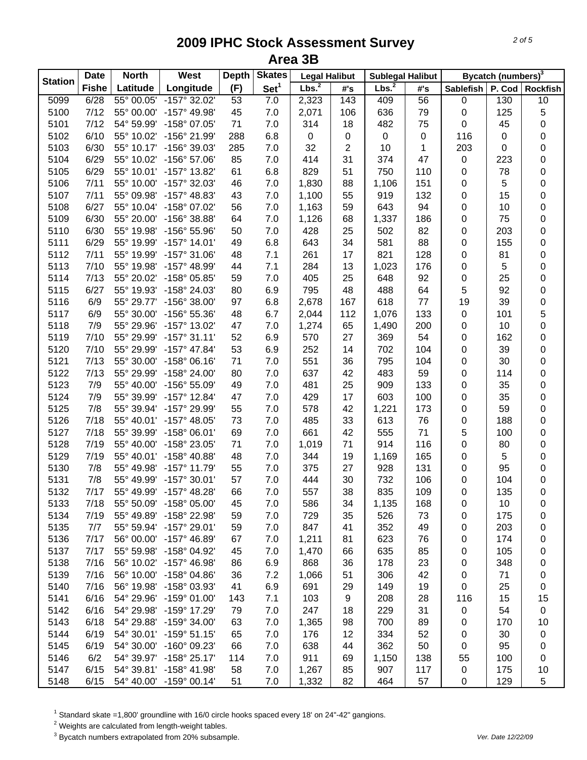| <b>Station</b> | <b>Date</b>  | <b>North</b> | West                    | <b>Depth</b> | <b>Skates</b>    | <b>Legal Halibut</b> |     | <b>Sublegal Halibut</b> |           |                  | Bycatch (numbers) <sup>3</sup> |                 |
|----------------|--------------|--------------|-------------------------|--------------|------------------|----------------------|-----|-------------------------|-----------|------------------|--------------------------------|-----------------|
|                | <b>Fishe</b> | Latitude     | Longitude               | (F)          | Set <sup>1</sup> | Lbs. <sup>2</sup>    | #'s | Lbs. <sup>2</sup>       | #'s       | <b>Sablefish</b> | P. Cod                         | <b>Rockfish</b> |
| 5099           | 6/28         | 55° 00.05'   | $-157^{\circ}$ 32.02'   | 53           | 7.0              | 2,323                | 143 | 409                     | 56        | $\pmb{0}$        | 130                            | 10              |
| 5100           | 7/12         | 55° 00.00'   | -157° 49.98'            | 45           | 7.0              | 2,071                | 106 | 636                     | 79        | 0                | 125                            | 5               |
| 5101           | 7/12         | 54° 59.99'   | -158° 07.05'            | 71           | $7.0\,$          | 314                  | 18  | 482                     | 75        | 0                | 45                             | 0               |
| 5102           | 6/10         | 55° 10.02'   | -156° 21.99'            | 288          | 6.8              | $\pmb{0}$            | 0   | $\pmb{0}$               | $\pmb{0}$ | 116              | 0                              | 0               |
| 5103           | 6/30         | 55° 10.17'   | -156° 39.03'            | 285          | 7.0              | 32                   | 2   | 10                      | 1         | 203              | 0                              | $\mathbf 0$     |
| 5104           | 6/29         | 55° 10.02'   | $-156^{\circ} 57.06'$   | 85           | 7.0              | 414                  | 31  | 374                     | 47        | $\pmb{0}$        | 223                            | $\mathbf 0$     |
| 5105           | 6/29         | 55° 10.01'   | $-157^{\circ}$ 13.82'   | 61           | 6.8              | 829                  | 51  | 750                     | 110       | $\pmb{0}$        | 78                             | 0               |
| 5106           | 7/11         | 55° 10.00'   | -157° 32.03'            | 46           | 7.0              | 1,830                | 88  | 1,106                   | 151       | 0                | 5                              | 0               |
| 5107           | 7/11         | 55° 09.98'   | -157° 48.83'            | 43           | 7.0              | 1,100                | 55  | 919                     | 132       | 0                | 15                             | 0               |
| 5108           | 6/27         | 55° 10.04'   | -158° 07.02'            | 56           | 7.0              | 1,163                | 59  | 643                     | 94        | 0                | 10                             | 0               |
| 5109           | 6/30         | 55° 20.00'   | -156° 38.88'            | 64           | 7.0              | 1,126                | 68  | 1,337                   | 186       | 0                | 75                             | 0               |
| 5110           | 6/30         | 55° 19.98'   | -156° 55.96'            | 50           | 7.0              | 428                  | 25  | 502                     | 82        | 0                | 203                            | 0               |
| 5111           | 6/29         | 55° 19.99'   | $-157^{\circ}$ 14.01'   | 49           | 6.8              | 643                  | 34  | 581                     | 88        | 0                | 155                            | 0               |
| 5112           | 7/11         | 55° 19.99'   | $-157^{\circ}$ 31.06'   | 48           | 7.1              | 261                  | 17  | 821                     | 128       | 0                | 81                             | 0               |
| 5113           | 7/10         | 55° 19.98'   | $-157^{\circ}$ 48.99'   | 44           | 7.1              | 284                  | 13  | 1,023                   | 176       | 0                | 5                              | 0               |
| 5114           | 7/13         | 55° 20.02'   | $-158^{\circ}$ 05.85'   | 59           | 7.0              | 405                  | 25  | 648                     | 92        | 0                | 25                             | 0               |
| 5115           | 6/27         | 55° 19.93'   | -158° 24.03'            | 80           | 6.9              | 795                  | 48  | 488                     | 64        | 5                | 92                             | 0               |
| 5116           | 6/9          | 55° 29.77'   | $-156^{\circ}$ 38.00'   | 97           | 6.8              | 2,678                | 167 | 618                     | 77        | 19               | 39                             | $\mathbf 0$     |
| 5117           | 6/9          | 55° 30.00'   | -156° 55.36'            | 48           | 6.7              | 2,044                | 112 | 1,076                   | 133       | 0                | 101                            | 5               |
| 5118           | 7/9          | 55° 29.96'   | -157° 13.02'            | 47           | 7.0              | 1,274                | 65  | 1,490                   | 200       | 0                | 10                             | $\mathbf 0$     |
| 5119           | 7/10         | 55° 29.99'   | $-157°31.11'$           | 52           | 6.9              | 570                  | 27  | 369                     | 54        | 0                | 162                            | 0               |
| 5120           | 7/10         | 55° 29.99'   | $-157^{\circ}$ 47.84'   | 53           | 6.9              | 252                  | 14  | 702                     | 104       | 0                | 39                             | 0               |
| 5121           | 7/13         | 55° 30.00'   | $-158^{\circ}$ 06.16'   | 71           | $7.0\,$          | 551                  | 36  | 795                     | 104       | 0                | 30                             | 0               |
| 5122           | 7/13         | 55° 29.99'   | $-158^{\circ}$ 24.00    | 80           | $7.0\,$          | 637                  | 42  | 483                     | 59        | 0                | 114                            | 0               |
| 5123           | 7/9          | 55° 40.00'   | $-156^{\circ} 55.09'$   | 49           | 7.0              | 481                  | 25  | 909                     | 133       | 0                | 35                             | 0               |
| 5124           | 7/9          | 55° 39.99'   | $-157^{\circ}$ 12.84'   | 47           | 7.0              | 429                  | 17  | 603                     | 100       | 0                | 35                             | 0               |
| 5125           | 7/8          | 55° 39.94'   | -157° 29.99'            | 55           | 7.0              | 578                  | 42  | 1,221                   | 173       | 0                | 59                             | 0               |
| 5126           | 7/18         | 55° 40.01'   | $-157^{\circ}$ 48.05'   | 73           | 7.0              | 485                  | 33  | 613                     | 76        | 0                | 188                            | 0               |
| 5127           | 7/18         | 55° 39.99'   | $-158^{\circ}$ 06.01'   | 69           | 7.0              | 661                  | 42  | 555                     | 71        | 5                | 100                            | 0               |
| 5128           | 7/19         | 55° 40.00'   | -158° 23.05'            | 71           | 7.0              | 1,019                | 71  | 914                     | 116       | 0                | 80                             | 0               |
| 5129           | 7/19         | 55° 40.01'   | -158° 40.88'            | 48           | 7.0              | 344                  | 19  | 1,169                   | 165       | 0                | 5                              | 0               |
| 5130           | 7/8          | 55° 49.98'   | $-157^{\circ}$ 11.79'   | 55           | $7.0$            | 375                  | 27  | 928                     | 131       | 0                | 95                             | 0               |
| 5131           | 7/8          | 55° 49.99'   | $-157^{\circ}$ 30.01'   | 57           | 7.0              | 444                  | 30  | 732                     | 106       | 0                | 104                            | 0               |
| 5132           | 7/17         | 55° 49.99'   | $-157^{\circ}$ 48.28'   | 66           | 7.0              | 557                  | 38  | 835                     | 109       | 0                | 135                            | 0               |
| 5133           | 7/18         | 55° 50.09'   | $-158^{\circ}$ 05.00    | 45           | 7.0              | 586                  | 34  | 1,135                   | 168       | 0                | 10                             | 0               |
| 5134           | 7/19         | 55° 49.89'   | -158° 22.98'            | 59           | 7.0              | 729                  | 35  | 526                     | 73        | 0                | 175                            | 0               |
| 5135           | 7/7          | 55° 59.94'   | $-157^{\circ}$ 29.01'   | 59           | 7.0              | 847                  | 41  | 352                     | 49        | 0                | 203                            | 0               |
| 5136           | 7/17         | 56° 00.00'   | $-157^{\circ}$ 46.89'   | 67           | 7.0              | 1,211                | 81  | 623                     | 76        | 0                | 174                            | 0               |
| 5137           | 7/17         | 55° 59.98'   | -158° 04.92'            | 45           | 7.0              | 1,470                | 66  | 635                     | 85        | 0                | 105                            | 0               |
| 5138           | 7/16         | 56° 10.02'   | $-157^{\circ}$ 46.98'   | 86           | 6.9              | 868                  | 36  | 178                     | 23        | 0                | 348                            | 0               |
| 5139           | 7/16         | 56° 10.00'   | $-158^{\circ}$ 04.86'   | 36           | 7.2              | 1,066                | 51  | 306                     | 42        | 0                | 71                             | 0               |
| 5140           | 7/16         | 56° 19.98'   | -158° 03.93'            | 41           | 6.9              | 691                  | 29  | 149                     | 19        | 0                | 25                             | 0               |
| 5141           | 6/16         | 54° 29.96'   | $-159^{\circ}$ 01.00    | 143          | 7.1              | 103                  | 9   | 208                     | 28        | 116              | 15                             | 15              |
| 5142           | 6/16         | 54° 29.98'   | $-159^{\circ}$ 17.29'   | 79           | 7.0              | 247                  | 18  | 229                     | 31        | 0                | 54                             | $\pmb{0}$       |
| 5143           | 6/18         | 54° 29.88'   | $-159^{\circ}$ 34.00    | 63           | 7.0              | 1,365                | 98  | 700                     | 89        | 0                | 170                            | 10              |
| 5144           | 6/19         | 54° 30.01'   | $-159^{\circ} 51.15'$   | 65           | 7.0              | 176                  | 12  | 334                     | 52        | 0                | 30                             | 0               |
| 5145           | 6/19         | 54° 30.00'   | $-160^{\circ}$ 09.23'   | 66           | 7.0              | 638                  | 44  | 362                     | 50        | 0                | 95                             | 0               |
| 5146           | 6/2          | 54° 39.97'   | $-158^{\circ}$ 25.17'   | 114          | 7.0              | 911                  | 69  | 1,150                   | 138       | 55               | 100                            | 0               |
| 5147           | 6/15         |              | 54° 39.81' -158° 41.98' | 58           | 7.0              | 1,267                | 85  | 907                     | 117       | 0                | 175                            | 10              |
| 5148           | 6/15         | 54° 40.00'   | $-159^{\circ}$ 00.14'   | 51           | $7.0$            | 1,332                | 82  | 464                     | 57        | 0                | 129                            | 5               |

 $^1$  Standard skate =1,800' groundline with 16/0 circle hooks spaced every 18' on 24"-42" gangions.<br><sup>2</sup> Weights are calculated from length-weight tables.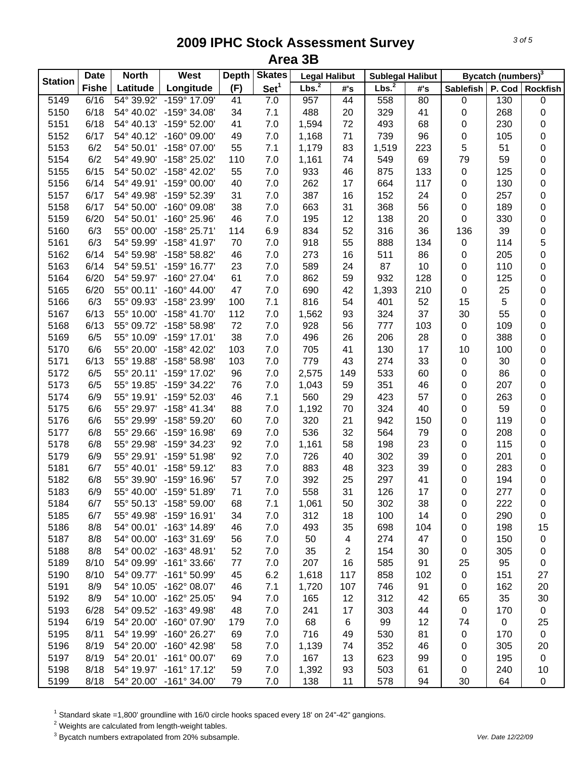| <b>Station</b> | <b>Date</b>  | <b>North</b> | West                    | <b>Depth</b> | <b>Skates</b>    | <b>Legal Halibut</b> |     | <b>Sublegal Halibut</b> |     |                  | Bycatch (numbers) <sup>3</sup> |                 |
|----------------|--------------|--------------|-------------------------|--------------|------------------|----------------------|-----|-------------------------|-----|------------------|--------------------------------|-----------------|
|                | <b>Fishe</b> | Latitude     | Longitude               | (F)          | Set <sup>1</sup> | Lbs. <sup>2</sup>    | #'s | Lbs. <sup>2</sup>       | #'s | Sablefish        | P. Cod                         | <b>Rockfish</b> |
| 5149           | 6/16         | 54° 39.92'   | $-159^{\circ}$ 17.09'   | 41           | 7.0              | 957                  | 44  | 558                     | 80  | $\pmb{0}$        | 130                            | $\pmb{0}$       |
| 5150           | 6/18         | 54° 40.02'   | -159° 34.08'            | 34           | 7.1              | 488                  | 20  | 329                     | 41  | 0                | 268                            | 0               |
| 5151           | 6/18         | 54° 40.13'   | $-159^{\circ}$ 52.00'   | 41           | 7.0              | 1,594                | 72  | 493                     | 68  | 0                | 230                            | 0               |
| 5152           | 6/17         | 54° 40.12'   | $-160^{\circ}$ 09.00'   | 49           | 7.0              | 1,168                | 71  | 739                     | 96  | 0                | 105                            | 0               |
| 5153           | 6/2          | 54° 50.01'   | -158° 07.00'            | 55           | 7.1              | 1,179                | 83  | 1,519                   | 223 | 5                | 51                             | 0               |
| 5154           | 6/2          | 54° 49.90'   | -158° 25.02'            | 110          | 7.0              | 1,161                | 74  | 549                     | 69  | 79               | 59                             | 0               |
| 5155           | 6/15         | 54° 50.02'   | -158° 42.02'            | 55           | $7.0$            | 933                  | 46  | 875                     | 133 | $\pmb{0}$        | 125                            | 0               |
| 5156           | 6/14         | 54° 49.91'   | $-159^{\circ}$ 00.00'   | 40           | 7.0              | 262                  | 17  | 664                     | 117 | 0                | 130                            | 0               |
| 5157           | 6/17         | 54° 49.98'   | -159° 52.39'            | 31           | 7.0              | 387                  | 16  | 152                     | 24  | 0                | 257                            | 0               |
| 5158           | 6/17         | 54° 50.00'   | $-160^{\circ}$ 09.08'   | 38           | 7.0              | 663                  | 31  | 368                     | 56  | 0                | 189                            | 0               |
| 5159           | 6/20         | 54° 50.01'   | $-160^{\circ}$ 25.96'   | 46           | 7.0              | 195                  | 12  | 138                     | 20  | 0                | 330                            | 0               |
| 5160           | 6/3          | 55° 00.00'   | $-158^{\circ}$ 25.71'   | 114          | 6.9              | 834                  | 52  | 316                     | 36  | 136              | 39                             | 0               |
| 5161           | 6/3          | 54° 59.99'   | $-158^{\circ}$ 41.97'   | 70           | 7.0              | 918                  | 55  | 888                     | 134 | $\pmb{0}$        | 114                            | 5               |
| 5162           | 6/14         | 54° 59.98'   | -158° 58.82'            | 46           | 7.0              | 273                  | 16  | 511                     | 86  | 0                | 205                            | 0               |
| 5163           | 6/14         | 54° 59.51'   | $-159^{\circ}$ 16.77'   | 23           | 7.0              | 589                  | 24  | 87                      | 10  | 0                | 110                            | 0               |
| 5164           | 6/20         | 54° 59.97'   | $-160^{\circ}$ 27.04'   | 61           | 7.0              | 862                  | 59  | 932                     | 128 | 0                | 125                            | 0               |
| 5165           | 6/20         | 55° 00.11'   | $-160^{\circ}$ 44.00'   | 47           | 7.0              | 690                  | 42  | 1,393                   | 210 | 0                | 25                             | 0               |
| 5166           | 6/3          | 55° 09.93'   | -158° 23.99'            | 100          | 7.1              | 816                  | 54  | 401                     | 52  | 15               | 5                              | 0               |
| 5167           | 6/13         | 55° 10.00'   | $-158^{\circ}$ 41.70'   | 112          | 7.0              | 1,562                | 93  | 324                     | 37  | 30               | 55                             | 0               |
| 5168           | 6/13         | 55° 09.72'   | -158° 58.98'            | 72           | 7.0              | 928                  | 56  | 777                     | 103 | $\pmb{0}$        | 109                            | 0               |
| 5169           | 6/5          | 55° 10.09'   | $-159^{\circ}$ 17.01'   | 38           | 7.0              | 496                  | 26  | 206                     | 28  | 0                | 388                            | 0               |
| 5170           | 6/6          | 55° 20.00'   | $-158^{\circ}$ 42.02'   | 103          | 7.0              | 705                  | 41  | 130                     | 17  | 10               | 100                            | 0               |
| 5171           | 6/13         | 55° 19.88'   | $-158^{\circ} 58.98'$   | 103          | 7.0              | 779                  | 43  | 274                     | 33  | 0                | 30                             | 0               |
| 5172           | 6/5          | 55° 20.11'   | -159° 17.02'            | 96           | 7.0              | 2,575                | 149 | 533                     | 60  | 0                | 86                             | 0               |
| 5173           | 6/5          | 55° 19.85'   | -159° 34.22'            | 76           | 7.0              | 1,043                | 59  | 351                     | 46  | 0                | 207                            | 0               |
| 5174           | 6/9          | 55° 19.91'   | -159° 52.03'            | 46           | 7.1              | 560                  | 29  | 423                     | 57  | 0                | 263                            | 0               |
| 5175           | 6/6          | 55° 29.97'   | $-158^{\circ}$ 41.34'   | 88           | 7.0              | 1,192                | 70  | 324                     | 40  | 0                | 59                             | 0               |
| 5176           | 6/6          | 55° 29.99'   | -158° 59.20'            | 60           | 7.0              | 320                  | 21  | 942                     | 150 | 0                | 119                            | 0               |
| 5177           | 6/8          | 55° 29.66'   | -159° 16.98'            | 69           | 7.0              | 536                  | 32  | 564                     | 79  | 0                | 208                            | 0               |
| 5178           | 6/8          | 55° 29.98'   | -159° 34.23'            | 92           | 7.0              | 1,161                | 58  | 198                     | 23  | 0                | 115                            | 0               |
| 5179           | 6/9          | 55° 29.91'   | $-159^{\circ} 51.98'$   | 92           | 7.0              | 726                  | 40  | 302                     | 39  | 0                | 201                            | 0               |
| 5181           | 6/7          | 55° 40.01'   | $-158^{\circ} 59.12'$   | 83           | 7.0              | 883                  | 48  | 323                     | 39  | 0                | 283                            | 0               |
| 5182           | 6/8          | 55° 39.90'   | -159° 16.96'            | 57           | 7.0              | 392                  | 25  | 297                     | 41  | 0                | 194                            | 0               |
| 5183           | 6/9          | 55° 40.00'   | $-159^{\circ}$ 51.89'   | 71           | 7.0              | 558                  | 31  | 126                     | 17  | 0                | 277                            | 0               |
| 5184           | 6/7          | 55° 50.13'   | $-158^{\circ} 59.00'$   | 68           | 7.1              | 1,061                | 50  | 302                     | 38  | 0                | 222                            | 0               |
| 5185           | 6/7          | 55° 49.98'   | $-159^{\circ}$ 16.91'   | 34           | 7.0              | 312                  | 18  | 100                     | 14  | 0                | 290                            | 0               |
| 5186           | 8/8          | 54° 00.01'   | $-163^{\circ}$ 14.89'   | 46           | 7.0              | 493                  | 35  | 698                     | 104 | 0                | 198                            | 15              |
| 5187           | 8/8          | 54° 00.00'   | -163° 31.69'            | 56           | 7.0              | 50                   | 4   | 274                     | 47  | 0                | 150                            | 0               |
| 5188           | 8/8          | 54° 00.02'   | $-163^{\circ}$ 48.91'   | 52           | 7.0              | 35                   | 2   | 154                     | 30  | 0                | 305                            | 0               |
| 5189           | 8/10         | 54° 09.99'   | $-161^{\circ}$ 33.66'   | 77           | 7.0              | 207                  | 16  | 585                     | 91  | 25               | 95                             | 0               |
| 5190           | 8/10         | 54° 09.77'   | $-161^{\circ} 50.99'$   | 45           | 6.2              | 1,618                | 117 | 858                     | 102 | $\pmb{0}$        | 151                            | 27              |
| 5191           | 8/9          | 54° 10.05'   | $-162^{\circ}$ 08.07'   | 46           | 7.1              | 1,720                | 107 | 746                     | 91  | 0                | 162                            | 20              |
| 5192           | 8/9          | 54° 10.00'   | $-162^{\circ}$ 25.05'   | 94           | 7.0              | 165                  | 12  | 312                     | 42  | 65               | 35                             | 30              |
| 5193           | 6/28         | 54° 09.52'   | $-163^{\circ}$ 49.98'   | 48           | 7.0              | 241                  | 17  | 303                     | 44  | $\boldsymbol{0}$ | 170                            | $\pmb{0}$       |
|                | 6/19         | 54° 20.00'   | $-160^{\circ}$ 07.90'   |              |                  |                      |     |                         | 12  |                  |                                |                 |
| 5194           |              |              |                         | 179          | 7.0              | 68                   | 6   | 99                      |     | 74               | 0                              | 25              |
| 5195           | 8/11         | 54° 19.99'   | $-160^{\circ}$ 26.27'   | 69           | 7.0              | 716                  | 49  | 530                     | 81  | 0                | 170                            | $\mathbf 0$     |
| 5196           | 8/19         | 54° 20.00'   | $-160^{\circ}$ 42.98'   | 58           | 7.0              | 1,139                | 74  | 352                     | 46  | 0                | 305                            | 20              |
| 5197           | 8/19         |              | 54° 20.01' -161° 00.07' | 69           | 7.0              | 167                  | 13  | 623                     | 99  | 0                | 195                            | $\mathbf 0$     |
| 5198           | 8/18         |              | 54° 19.97' -161° 17.12' | 59           | 7.0              | 1,392                | 93  | 503                     | 61  | 0                | 240                            | 10              |
| 5199           | 8/18         |              | 54° 20.00' -161° 34.00' | 79           | $7.0$            | 138                  | 11  | 578                     | 94  | 30               | 64                             | 0               |

 $^1$  Standard skate =1,800' groundline with 16/0 circle hooks spaced every 18' on 24"-42" gangions.<br><sup>2</sup> Weights are calculated from length-weight tables.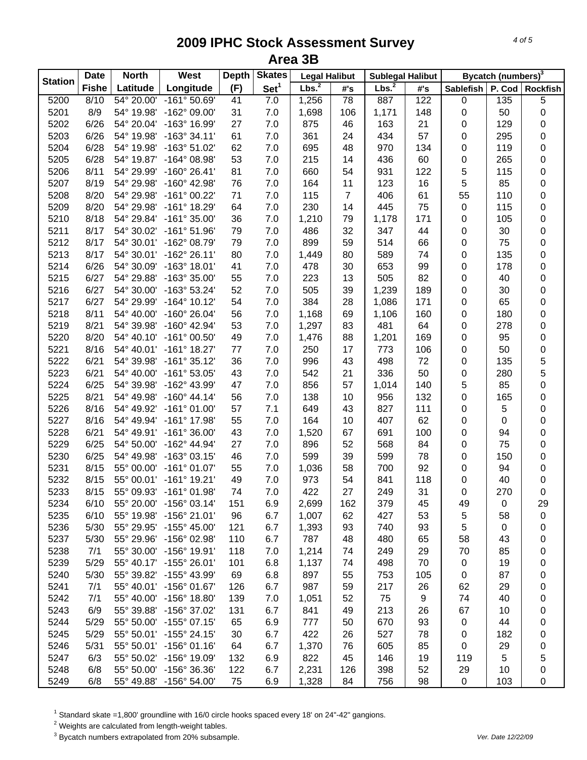| <b>Station</b> | <b>Date</b>  | <b>North</b> | West                                             | <b>Depth</b> | <b>Skates</b>    | <b>Legal Halibut</b> |                | <b>Sublegal Halibut</b> |     |           | Bycatch (numbers) <sup>3</sup> |                 |
|----------------|--------------|--------------|--------------------------------------------------|--------------|------------------|----------------------|----------------|-------------------------|-----|-----------|--------------------------------|-----------------|
|                | <b>Fishe</b> | Latitude     | Longitude                                        | (F)          | Set <sup>1</sup> | Lbs. <sup>2</sup>    | #'s            | Lbs. <sup>2</sup>       | #'s | Sablefish | P. Cod                         | <b>Rockfish</b> |
| 5200           | 8/10         | 54° 20.00'   | $-161° 50.69'$                                   | 41           | 7.0              | 1,256                | 78             | 887                     | 122 | $\pmb{0}$ | 135                            | $\overline{5}$  |
| 5201           | 8/9          | 54° 19.98'   | -162° 09.00'                                     | 31           | 7.0              | 1,698                | 106            | 1,171                   | 148 | $\pmb{0}$ | 50                             | 0               |
| 5202           | 6/26         | 54° 20.04'   | -163° 16.99'                                     | 27           | 7.0              | 875                  | 46             | 163                     | 21  | 0         | 129                            | 0               |
| 5203           | 6/26         | 54° 19.98'   | $-163°34.11'$                                    | 61           | 7.0              | 361                  | 24             | 434                     | 57  | 0         | 295                            | 0               |
| 5204           | 6/28         | 54° 19.98'   | -163° 51.02'                                     | 62           | 7.0              | 695                  | 48             | 970                     | 134 | 0         | 119                            | 0               |
| 5205           | 6/28         | 54° 19.87'   | $-164^{\circ}$ 08.98'                            | 53           | $7.0\,$          | 215                  | 14             | 436                     | 60  | $\pmb{0}$ | 265                            | 0               |
| 5206           | 8/11         | 54° 29.99'   | $-160^{\circ}$ 26.41'                            | 81           | 7.0              | 660                  | 54             | 931                     | 122 | 5         | 115                            | 0               |
| 5207           | 8/19         | 54° 29.98'   | $-160^{\circ}$ 42.98'                            | 76           | 7.0              | 164                  | 11             | 123                     | 16  | 5         | 85                             | 0               |
| 5208           | 8/20         | 54° 29.98'   | $-161°00.22'$                                    | 71           | 7.0              | 115                  | $\overline{7}$ | 406                     | 61  | 55        | 110                            | 0               |
| 5209           | 8/20         | 54° 29.98'   | $-161°$ 18.29'                                   | 64           | 7.0              | 230                  | 14             | 445                     | 75  | $\pmb{0}$ | 115                            | 0               |
| 5210           | 8/18         | 54° 29.84'   | $-161°35.00'$                                    | 36           | 7.0              | 1,210                | 79             | 1,178                   | 171 | 0         | 105                            | 0               |
| 5211           | 8/17         | 54° 30.02'   | $-161°51.96'$                                    | 79           | 7.0              | 486                  | 32             | 347                     | 44  | 0         | 30                             | 0               |
| 5212           | 8/17         | 54° 30.01'   | -162° 08.79'                                     | 79           | 7.0              | 899                  | 59             | 514                     | 66  | 0         | 75                             | 0               |
| 5213           | 8/17         | 54° 30.01'   | $-162^{\circ}$ 26.11'                            | 80           | 7.0              | 1,449                | 80             | 589                     | 74  | 0         | 135                            | 0               |
| 5214           | 6/26         | 54° 30.09'   | $-163^\circ$ 18.01'                              | 41           | 7.0              | 478                  | 30             | 653                     | 99  | 0         | 178                            | 0               |
| 5215           | 6/27         | 54° 29.88'   | $-163^{\circ}35.00'$                             | 55           | 7.0              | 223                  | 13             | 505                     | 82  | 0         | 40                             | 0               |
| 5216           | 6/27         | 54° 30.00'   | $-163^{\circ} 53.24'$                            | 52           | 7.0              | 505                  | 39             | 1,239                   | 189 | 0         | 30                             | 0               |
| 5217           | 6/27         | 54° 29.99'   | $-164^{\circ}$ 10.12'                            | 54           | 7.0              | 384                  | 28             | 1,086                   | 171 | 0         | 65                             | 0               |
| 5218           | 8/11         | 54° 40.00'   | $-160^{\circ}$ 26.04'                            | 56           | 7.0              | 1,168                | 69             | 1,106                   | 160 | 0         | 180                            | 0               |
| 5219           | 8/21         | 54° 39.98'   | $-160^{\circ}$ 42.94'                            | 53           | 7.0              | 1,297                | 83             | 481                     | 64  | 0         | 278                            | 0               |
| 5220           | 8/20         | 54° 40.10'   | $-161^{\circ}$ 00.50'                            | 49           | 7.0              | 1,476                | 88             | 1,201                   | 169 | 0         | 95                             | 0               |
| 5221           | 8/16         | 54° 40.01'   | $-161^{\circ}$ 18.27'                            | $77 \,$      | 7.0              | 250                  | 17             | 773                     | 106 | $\pmb{0}$ | 50                             | 0               |
| 5222           | 6/21         | 54° 39.98'   | $-161°35.12'$                                    | 36           | 7.0              | 996                  | 43             | 498                     | 72  | $\pmb{0}$ | 135                            | 5               |
| 5223           | 6/21         | 54° 40.00'   | $-161°53.05'$                                    | 43           | 7.0              | 542                  | 21             | 336                     | 50  | $\pmb{0}$ | 280                            | 5               |
| 5224           | 6/25         | 54° 39.98'   | -162° 43.99'                                     | 47           | 7.0              | 856                  | 57             | 1,014                   | 140 | 5         | 85                             | 0               |
| 5225           | 8/21         | 54° 49.98'   | $-160^{\circ}$ 44.14'                            | 56           | 7.0              | 138                  | 10             | 956                     | 132 | $\pmb{0}$ | 165                            | 0               |
| 5226           | 8/16         | 54° 49.92'   | $-161°01.00'$                                    | 57           | 7.1              | 649                  | 43             | 827                     | 111 | 0         | 5                              | 0               |
| 5227           | 8/16         | 54° 49.94'   | -161° 17.98'                                     | 55           | 7.0              | 164                  | 10             | 407                     | 62  | 0         | 0                              | 0               |
| 5228           | 6/21         | 54° 49.91'   | $-161°36.00'$                                    | 43           | 7.0              | 1,520                | 67             | 691                     | 100 | 0         | 94                             | 0               |
| 5229           | 6/25         | 54° 50.00'   | $-162^{\circ}$ 44.94'                            | 27           | 7.0              | 896                  | 52             | 568                     | 84  | 0         | 75                             | 0               |
| 5230           | 6/25         | 54° 49.98'   | $-163^{\circ}$ 03.15'                            | 46           | 7.0              | 599                  | 39             | 599                     | 78  | 0         | 150                            | 0               |
| 5231           | 8/15         | 55° 00.00'   | $-161^{\circ}$ 01.07'                            | 55           | 7.0              | 1,036                | 58             | 700                     | 92  | $\pmb{0}$ | 94                             | 0               |
| 5232           | 8/15         | 55° 00.01'   | $-161^{\circ}$ 19.21'                            | 49           | 7.0              | 973                  | 54             | 841                     | 118 | 0         | 40                             | 0               |
| 5233           | 8/15         |              | 55° 09.93' -161° 01.98'                          | 74           | 7.0              | 422                  | 27             | 249                     | 31  | 0         | 270                            | 0               |
| 5234           | 6/10         | 55° 20.00'   | $-156^{\circ}$ 03.14'                            | 151          | 6.9              | 2,699                | 162            | 379                     | 45  | 49        | 0                              | 29              |
| 5235           | 6/10         | 55° 19.98'   | $-156^{\circ}$ 21.01'                            | 96           | 6.7              | 1,007                | 62             | 427                     | 53  | 5         | 58                             | 0               |
| 5236           | 5/30         | 55° 29.95'   | $-155^{\circ}$ 45.00'                            | 121          | 6.7              | 1,393                | 93             | 740                     | 93  | 5         | 0                              | 0               |
| 5237           | 5/30         | 55° 29.96'   | $-156^{\circ}$ 02.98'                            | 110          | 6.7              | 787                  | 48             | 480                     | 65  | 58        | 43                             | 0               |
| 5238           | 7/1          |              | 55° 30.00' -156° 19.91'                          | 118          | 7.0              | 1,214                | 74             | 249                     | 29  | 70        | 85                             | 0               |
| 5239           | 5/29         |              | 55° 40.17' -155° 26.01'                          | 101          | 6.8              | 1,137                | 74             | 498                     | 70  | 0         | 19                             |                 |
| 5240           | 5/30         | 55° 39.82'   | $-155^{\circ}$ 43.99'                            |              | 6.8              | 897                  |                | 753                     | 105 | 0         | 87                             | 0               |
|                | 7/1          |              |                                                  | 69           |                  |                      | 55             | 217                     |     |           |                                | 0               |
| 5241           |              |              | 55° 40.01' -156° 01.67'<br>$-156^{\circ}$ 18.80' | 126          | 6.7              | 987                  | 59             |                         | 26  | 62        | 29                             | 0               |
| 5242           | 7/1          | 55° 40.00'   |                                                  | 139          | 7.0              | 1,051                | 52             | 75                      | 9   | 74        | 40                             | 0               |
| 5243           | 6/9          | 55° 39.88'   | -156° 37.02'                                     | 131          | 6.7              | 841                  | 49             | 213                     | 26  | 67        | 10                             | 0               |
| 5244           | 5/29         | 55° 50.00'   | $-155^{\circ}$ 07.15'                            | 65           | 6.9              | 777                  | 50             | 670                     | 93  | 0         | 44                             | 0               |
| 5245           | 5/29         |              | 55° 50.01' -155° 24.15'                          | 30           | 6.7              | 422                  | 26             | 527                     | 78  | 0         | 182                            | 0               |
| 5246           | 5/31         |              | 55° 50.01' -156° 01.16'                          | 64           | 6.7              | 1,370                | 76             | 605                     | 85  | 0         | 29                             | 0               |
| 5247           | 6/3          |              | 55° 50.02' -156° 19.09'                          | 132          | 6.9              | 822                  | 45             | 146                     | 19  | 119       | 5                              | 5               |
| 5248           | 6/8          | 55° 50.00'   | -156° 36.36'                                     | 122          | 6.7              | 2,231                | 126            | 398                     | 52  | 29        | 10                             | 0               |
| 5249           | 6/8          | 55° 49.88'   | $-156^{\circ} 54.00'$                            | 75           | 6.9              | 1,328                | 84             | 756                     | 98  | 0         | 103                            | 0               |

 $^1$  Standard skate =1,800' groundline with 16/0 circle hooks spaced every 18' on 24"-42" gangions.<br><sup>2</sup> Weights are calculated from length-weight tables.